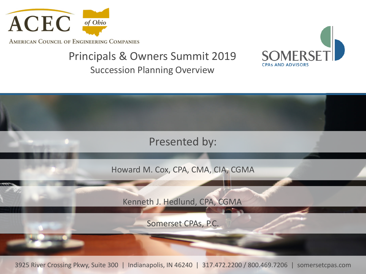

AMERICAN COUNCIL OF ENGINEERING COMPANIES

### Principals & Owners Summit 2019

Succession Planning Overview





3925 River Crossing Pkwy, Suite 300 | Indianapolis, IN 46240 | 317.472.2200 / 800.469.7206 | somersetcpas.com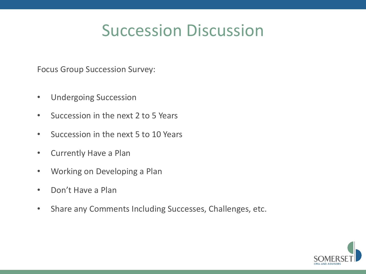## Succession Discussion

Focus Group Succession Survey:

- Undergoing Succession
- Succession in the next 2 to 5 Years
- Succession in the next 5 to 10 Years
- Currently Have a Plan
- Working on Developing a Plan
- Don't Have a Plan
- Share any Comments Including Successes, Challenges, etc.

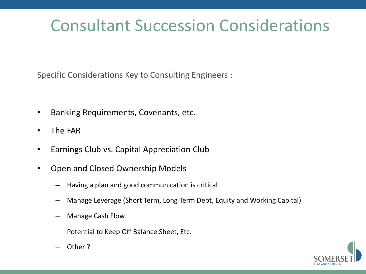# Consultant Succession Considerations

Specific Considerations Key to Consulting Engineers :

- Banking Requirements, Covenants, etc.
- The FAR
- Earnings Club vs. Capital Appreciation Club
- Open and Closed Ownership Models
	- Having a plan and good communication is critical
	- Manage Leverage (Short Term, Long Term Debt, Equity and Working Capital)
	- Manage Cash Flow
	- Potential to Keep Off Balance Sheet, Etc.



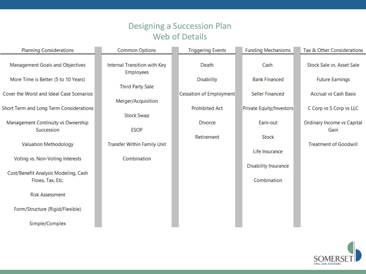#### Designing a Succession Plan Web of Details

| <b>Planning Considerations</b>                           | <b>Common Options</b>                            | <b>Triggering Events</b> | <b>Funding Mechanisms</b>   | Tax & Other Considerations   |
|----------------------------------------------------------|--------------------------------------------------|--------------------------|-----------------------------|------------------------------|
| Management Goals and Objectives                          | Internal Transition with Key<br><b>Employees</b> | Death                    | Cash                        | Stock Sale vs. Asset Sale    |
| More Time is Better (5 to 10 Years)                      |                                                  | <b>Disability</b>        | <b>Bank Financed</b>        | <b>Future Earnings</b>       |
|                                                          | <b>Third Party Sale</b>                          |                          |                             |                              |
| Cover the Worst and Ideal Case Scenarios                 |                                                  | Cessation of Employment  | <b>Seller Financed</b>      | <b>Accrual vs Cash Basis</b> |
| Short Term and Long Term Considerations                  | Merger/Acquisition                               | <b>Prohibited Act</b>    | Private Equity/Investors    | C Corp vs S Corp vs LLC      |
|                                                          | <b>Stock Swap</b>                                |                          |                             |                              |
| Management Continuity vs Ownership                       |                                                  | <b>Divorce</b>           | Earn-out                    | Ordinary Income vs Capital   |
| Succession                                               | <b>ESOP</b>                                      |                          |                             | Gain                         |
| <b>Valuation Methodology</b>                             | <b>Transfer Within Family Unit</b>               | Retirement               | Stock                       | <b>Treatment of Goodwill</b> |
|                                                          |                                                  |                          | Life Insurance              |                              |
| Voting vs. Non-Voting Interests                          | Combination                                      |                          |                             |                              |
|                                                          |                                                  |                          | <b>Disability Insurance</b> |                              |
| Cost/Benefit Analysis Modeling, Cash<br>Flows, Tax, Etc. |                                                  |                          | Combination                 |                              |
| <b>Risk Assessment</b>                                   |                                                  |                          |                             |                              |
| Form/Structure (Rigid/Flexible)                          |                                                  |                          |                             |                              |
| Simple/Complex                                           |                                                  |                          |                             |                              |

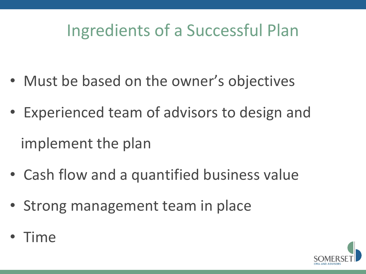# Ingredients of a Successful Plan

- Must be based on the owner's objectives
- Experienced team of advisors to design and implement the plan
- Cash flow and a quantified business value
- Strong management team in place
- Time

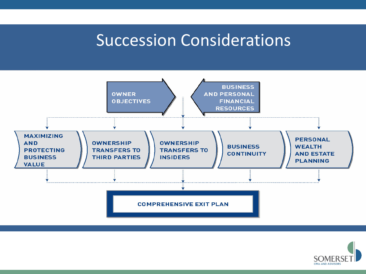### Succession Considerations